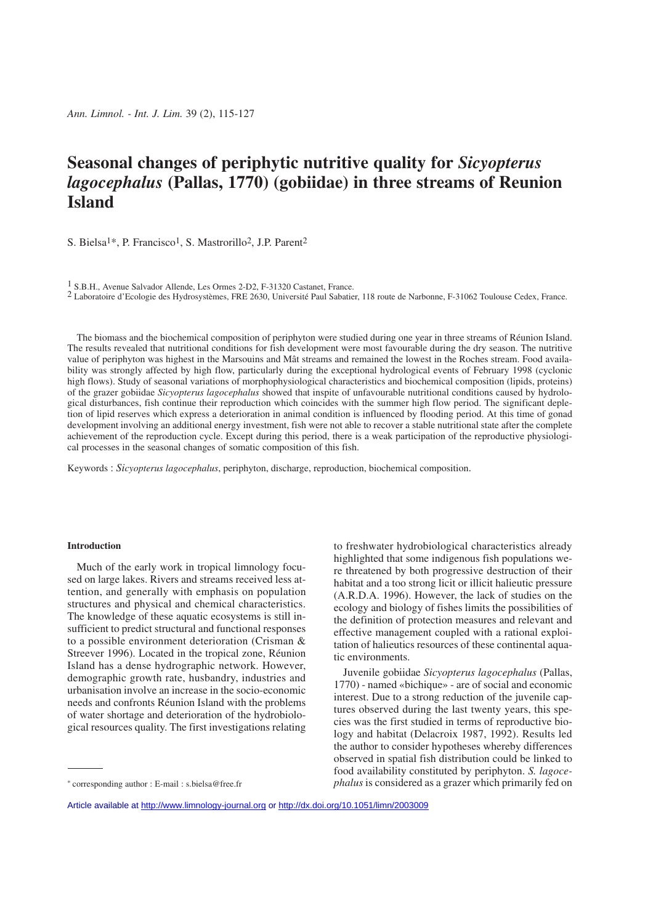# **Seasonal changes of periphytic nutritive quality for** *Sicyopterus lagocephalus* **(Pallas, 1770) (gobiidae) in three streams of Reunion Island**

S. Bielsa<sup>1\*</sup>, P. Francisco<sup>1</sup>, S. Mastrorillo<sup>2</sup>, J.P. Parent<sup>2</sup>

1 S.B.H., Avenue Salvador Allende, Les Ormes 2-D2, F-31320 Castanet, France. 2 Laboratoire d'Ecologie des Hydrosystèmes, FRE 2630, Université Paul Sabatier, 118 route de Narbonne, F-31062 Toulouse Cedex, France.

The biomass and the biochemical composition of periphyton were studied during one year in three streams of Réunion Island. The results revealed that nutritional conditions for fish development were most favourable during the dry season. The nutritive value of periphyton was highest in the Marsouins and Mât streams and remained the lowest in the Roches stream. Food availability was strongly affected by high flow, particularly during the exceptional hydrological events of February 1998 (cyclonic high flows). Study of seasonal variations of morphophysiological characteristics and biochemical composition (lipids, proteins) of the grazer gobiidae *Sicyopterus lagocephalus* showed that inspite of unfavourable nutritional conditions caused by hydrological disturbances, fish continue their reproduction which coincides with the summer high flow period. The significant depletion of lipid reserves which express a deterioration in animal condition is influenced by flooding period. At this time of gonad development involving an additional energy investment, fish were not able to recover a stable nutritional state after the complete achievement of the reproduction cycle. Except during this period, there is a weak participation of the reproductive physiological processes in the seasonal changes of somatic composition of this fish.

Keywords : *Sicyopterus lagocephalus*, periphyton, discharge, reproduction, biochemical composition.

## **Introduction**

Much of the early work in tropical limnology focused on large lakes. Rivers and streams received less attention, and generally with emphasis on population structures and physical and chemical characteristics. The knowledge of these aquatic ecosystems is still insufficient to predict structural and functional responses to a possible environment deterioration (Crisman & Streever 1996). Located in the tropical zone, Réunion Island has a dense hydrographic network. However, demographic growth rate, husbandry, industries and urbanisation involve an increase in the socio-economic needs and confronts Réunion Island with the problems of water shortage and deterioration of the hydrobiological resources quality. The first investigations relating

\* corresponding author : E-mail : s.bielsa@free.fr

Article available at <http://www.limnology-journal.org> or <http://dx.doi.org/10.1051/limn/2003009>

to freshwater hydrobiological characteristics already highlighted that some indigenous fish populations were threatened by both progressive destruction of their habitat and a too strong licit or illicit halieutic pressure (A.R.D.A. 1996). However, the lack of studies on the ecology and biology of fishes limits the possibilities of the definition of protection measures and relevant and effective management coupled with a rational exploitation of halieutics resources of these continental aquatic environments.

Juvenile gobiidae *Sicyopterus lagocephalus* (Pallas, 1770) - named «bichique» - are of social and economic interest. Due to a strong reduction of the juvenile captures observed during the last twenty years, this species was the first studied in terms of reproductive biology and habitat (Delacroix 1987, 1992). Results led the author to consider hypotheses whereby differences observed in spatial fish distribution could be linked to food availability constituted by periphyton. *S. lagocephalus* is considered as a grazer which primarily fed on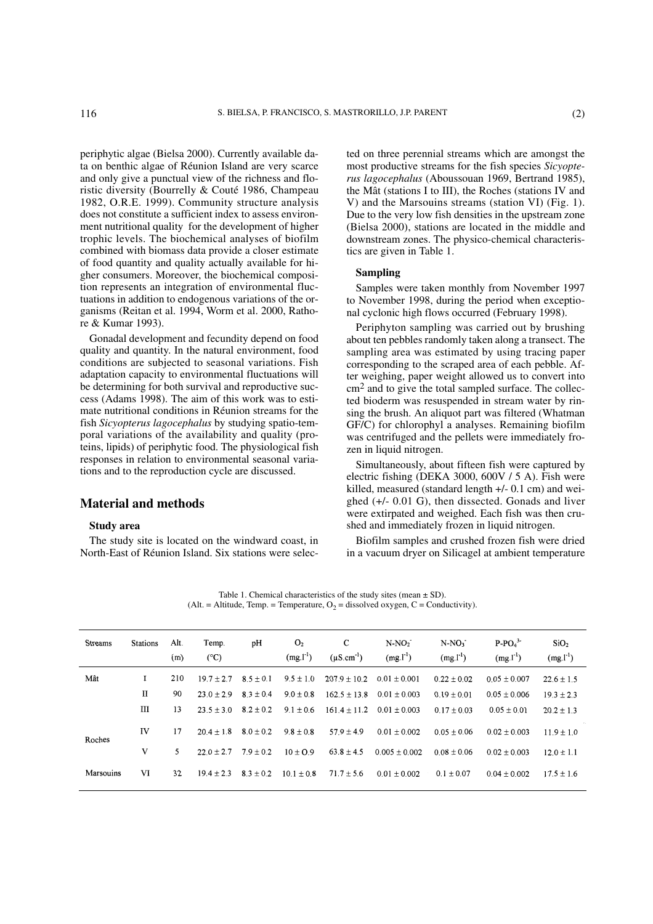periphytic algae (Bielsa 2000). Currently available data on benthic algae of Réunion Island are very scarce and only give a punctual view of the richness and floristic diversity (Bourrelly & Couté 1986, Champeau 1982, O.R.E. 1999). Community structure analysis does not constitute a sufficient index to assess environment nutritional quality for the development of higher trophic levels. The biochemical analyses of biofilm combined with biomass data provide a closer estimate of food quantity and quality actually available for higher consumers. Moreover, the biochemical composition represents an integration of environmental fluctuations in addition to endogenous variations of the organisms (Reitan et al. 1994, Worm et al. 2000, Rathore & Kumar 1993).

Gonadal development and fecundity depend on food quality and quantity. In the natural environment, food conditions are subjected to seasonal variations. Fish adaptation capacity to environmental fluctuations will be determining for both survival and reproductive success (Adams 1998). The aim of this work was to estimate nutritional conditions in Réunion streams for the fish *Sicyopterus lagocephalus* by studying spatio-temporal variations of the availability and quality (proteins, lipids) of periphytic food. The physiological fish responses in relation to environmental seasonal variations and to the reproduction cycle are discussed.

# **Material and methods**

#### **Study area**

The study site is located on the windward coast, in North-East of Réunion Island. Six stations were selected on three perennial streams which are amongst the most productive streams for the fish species *Sicyopterus lagocephalus* (Aboussouan 1969, Bertrand 1985), the Mât (stations I to III), the Roches (stations IV and V) and the Marsouins streams (station VI) (Fig. 1). Due to the very low fish densities in the upstream zone (Bielsa 2000), stations are located in the middle and downstream zones. The physico-chemical characteristics are given in Table 1.

#### **Sampling**

Samples were taken monthly from November 1997 to November 1998, during the period when exceptional cyclonic high flows occurred (February 1998).

Periphyton sampling was carried out by brushing about ten pebbles randomly taken along a transect. The sampling area was estimated by using tracing paper corresponding to the scraped area of each pebble. After weighing, paper weight allowed us to convert into cm2 and to give the total sampled surface. The collected bioderm was resuspended in stream water by rinsing the brush. An aliquot part was filtered (Whatman GF/C) for chlorophyl a analyses. Remaining biofilm was centrifuged and the pellets were immediately frozen in liquid nitrogen.

Simultaneously, about fifteen fish were captured by electric fishing (DEKA 3000, 600V / 5 A). Fish were killed, measured (standard length +/- 0.1 cm) and weighed (+/- 0.01 G), then dissected. Gonads and liver were extirpated and weighed. Each fish was then crushed and immediately frozen in liquid nitrogen.

Biofilm samples and crushed frozen fish were dried in a vacuum dryer on Silicagel at ambient temperature

Table 1. Chemical characteristics of the study sites (mean  $\pm$  SD). (Alt. = Altitude, Temp. = Temperature,  $O_2$  = dissolved oxygen, C = Conductivity).

| <b>Streams</b> | <b>Stations</b> | Alt.<br>(m) | Temp.<br>$(^{\circ}C)$ | pH            | O <sub>2</sub><br>$(mg. l-1)$ | C<br>$(uS.cm^{-1})$ | $N-NO2$<br>$(mg.1^{-1})$ | $N-NO3$<br>$(mg.1^{-1})$ | $P-PO43$<br>$(mg.1^{-1})$ | SiO <sub>2</sub><br>$(mg.1^{-1})$ |
|----------------|-----------------|-------------|------------------------|---------------|-------------------------------|---------------------|--------------------------|--------------------------|---------------------------|-----------------------------------|
| Mât            | I               | 210         | $19.7 + 2.7$           | $8.5 \pm 0.1$ | $9.5 \pm 1.0$                 | $207.9 \pm 10.2$    | $0.01 \pm 0.001$         | $0.22 \pm 0.02$          | $0.05 \pm 0.007$          | $22.6 \pm 1.5$                    |
|                | П               | 90          | $23.0 + 2.9$           | $8.3 \pm 0.4$ | $9.0 \pm 0.8$                 | $162.5 \pm 13.8$    | $0.01 \pm 0.003$         | $0.19 \pm 0.01$          | $0.05 \pm 0.006$          | $19.3 \pm 2.3$                    |
|                | Ш               | 13          | $23.5 \pm 3.0$         | $8.2 \pm 0.2$ | $9.1 \pm 0.6$                 | $161.4 \pm 11.2$    | $0.01 + 0.003$           | $0.17 \pm 0.03$          | $0.05 \pm 0.01$           | $20.2 \pm 1.3$                    |
| Roches         | IV              | 17          | $20.4 \pm 1.8$         | $8.0 \pm 0.2$ | $9.8 \pm 0.8$                 | $57.9 + 4.9$        | $0.01 \pm 0.002$         | $0.05 \pm 0.06$          | $0.02 \pm 0.003$          | $11.9 \pm 1.0$                    |
|                | V               | 5           | $22.0 \pm 2.7$         | $7.9 \pm 0.2$ | $10 \pm 0.9$                  | $63.8 \pm 4.5$      | $0.005 \pm 0.002$        | $0.08 \pm 0.06$          | $0.02 \pm 0.003$          | $12.0 \pm 1.1$                    |
| Marsouins      | VI              | 32          | $19.4 \pm 2.3$         | $8.3 \pm 0.2$ | $10.1 \pm 0.8$                | $71.7 \pm 5.6$      | $0.01 \pm 0.002$         | $0.1 \pm 0.07$           | $0.04 \pm 0.002$          | $17.5 \pm 1.6$                    |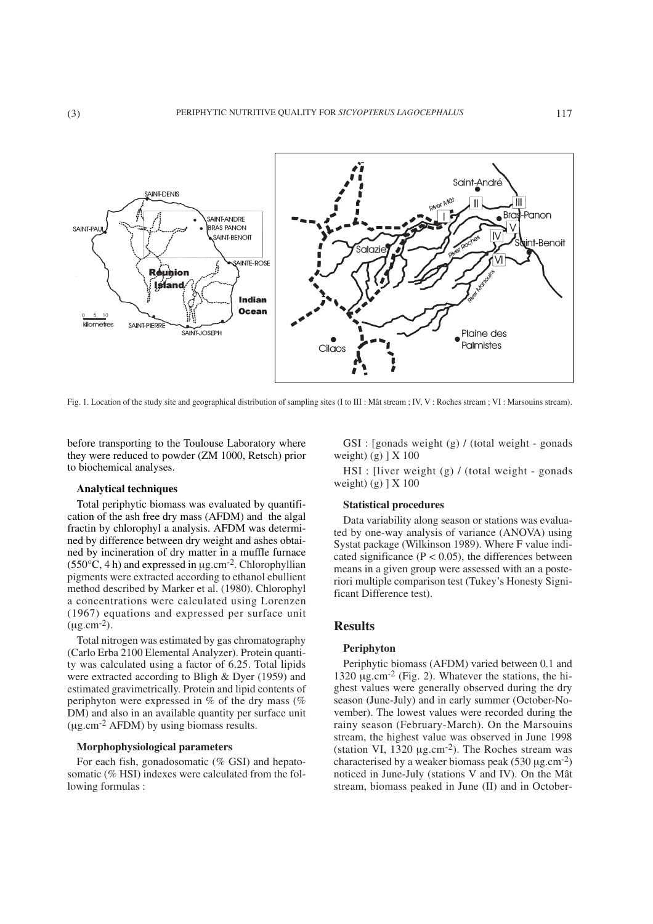

Fig. 1. Location of the study site and geographical distribution of sampling sites (I to III : Mât stream ; IV, V : Roches stream ; VI : Marsouins stream).

before transporting to the Toulouse Laboratory where they were reduced to powder (ZM 1000, Retsch) prior to biochemical analyses.

# **Analytical techniques**

Total periphytic biomass was evaluated by quantification of the ash free dry mass (AFDM) and the algal fractin by chlorophyl a analysis. AFDM was determined by difference between dry weight and ashes obtained by incineration of dry matter in a muffle furnace  $(550^{\circ}C, 4 h)$  and expressed in  $\mu$ g.cm<sup>-2</sup>. Chlorophyllian pigments were extracted according to ethanol ebullient method described by Marker et al. (1980). Chlorophyl a concentrations were calculated using Lorenzen (1967) equations and expressed per surface unit  $(\mu$ g.cm<sup>-2</sup>).

Total nitrogen was estimated by gas chromatography (Carlo Erba 2100 Elemental Analyzer). Protein quantity was calculated using a factor of 6.25. Total lipids were extracted according to Bligh & Dyer (1959) and estimated gravimetrically. Protein and lipid contents of periphyton were expressed in % of the dry mass (% DM) and also in an available quantity per surface unit (µg.cm-2 AFDM) by using biomass results.

#### **Morphophysiological parameters**

For each fish, gonadosomatic (% GSI) and hepatosomatic (% HSI) indexes were calculated from the following formulas :

GSI : [gonads weight (g) / (total weight - gonads weight) (g)  $\vert$  X 100

HSI : [liver weight (g) / (total weight - gonads weight) (g)  $]$  X 100

# **Statistical procedures**

Data variability along season or stations was evaluated by one-way analysis of variance (ANOVA) using Systat package (Wilkinson 1989). Where F value indicated significance ( $P < 0.05$ ), the differences between means in a given group were assessed with an a posteriori multiple comparison test (Tukey's Honesty Significant Difference test).

## **Results**

## **Periphyton**

Periphytic biomass (AFDM) varied between 0.1 and 1320 µg.cm-2 (Fig. 2). Whatever the stations, the highest values were generally observed during the dry season (June-July) and in early summer (October-November). The lowest values were recorded during the rainy season (February-March). On the Marsouins stream, the highest value was observed in June 1998 (station VI, 1320 µg.cm-2). The Roches stream was characterised by a weaker biomass peak  $(530 \,\mu g.cm^{-2})$ noticed in June-July (stations V and IV). On the Mât stream, biomass peaked in June (II) and in October-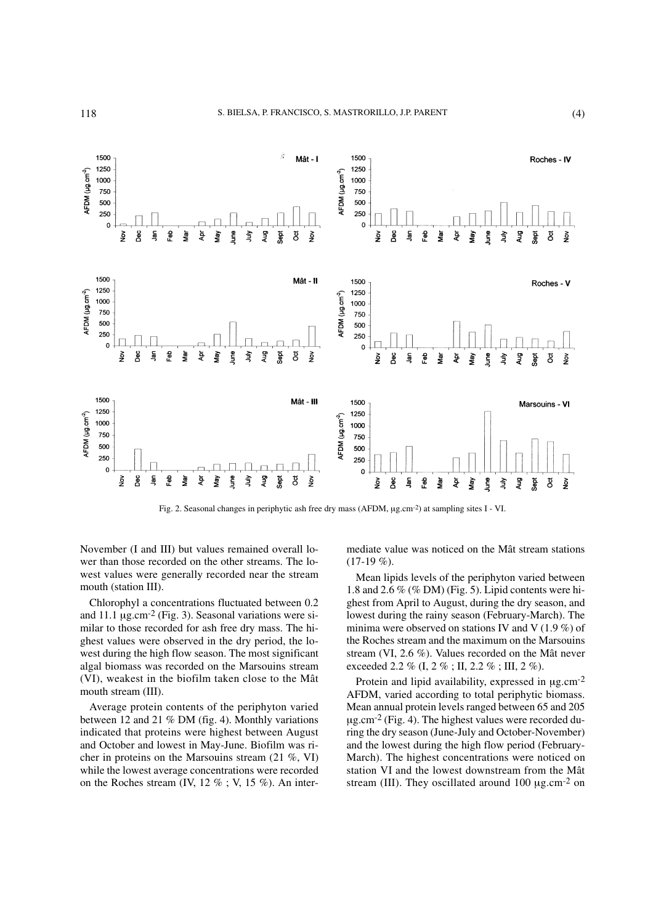

Fig. 2. Seasonal changes in periphytic ash free dry mass (AFDM, µg.cm-2) at sampling sites I - VI.

November (I and III) but values remained overall lower than those recorded on the other streams. The lowest values were generally recorded near the stream mouth (station III).

Chlorophyl a concentrations fluctuated between 0.2 and 11.1  $\mu$ g.cm<sup>-2</sup> (Fig. 3). Seasonal variations were similar to those recorded for ash free dry mass. The highest values were observed in the dry period, the lowest during the high flow season. The most significant algal biomass was recorded on the Marsouins stream (VI), weakest in the biofilm taken close to the Mât mouth stream (III).

Average protein contents of the periphyton varied between 12 and 21 % DM (fig. 4). Monthly variations indicated that proteins were highest between August and October and lowest in May-June. Biofilm was richer in proteins on the Marsouins stream (21 %, VI) while the lowest average concentrations were recorded on the Roches stream (IV,  $12\%$ ; V,  $15\%$ ). An intermediate value was noticed on the Mât stream stations  $(17-19\%)$ .

Mean lipids levels of the periphyton varied between 1.8 and 2.6 % (% DM) (Fig. 5). Lipid contents were highest from April to August, during the dry season, and lowest during the rainy season (February-March). The minima were observed on stations IV and V  $(1.9\%)$  of the Roches stream and the maximum on the Marsouins stream (VI, 2.6 %). Values recorded on the Mât never exceeded 2.2 % (I, 2 % ; II, 2.2 % ; III, 2 %).

Protein and lipid availability, expressed in  $\mu$ g.cm<sup>-2</sup> AFDM, varied according to total periphytic biomass. Mean annual protein levels ranged between 65 and 205  $\mu$ g.cm<sup>-2</sup> (Fig. 4). The highest values were recorded during the dry season (June-July and October-November) and the lowest during the high flow period (February-March). The highest concentrations were noticed on station VI and the lowest downstream from the Mât stream (III). They oscillated around 100  $\mu$ g.cm<sup>-2</sup> on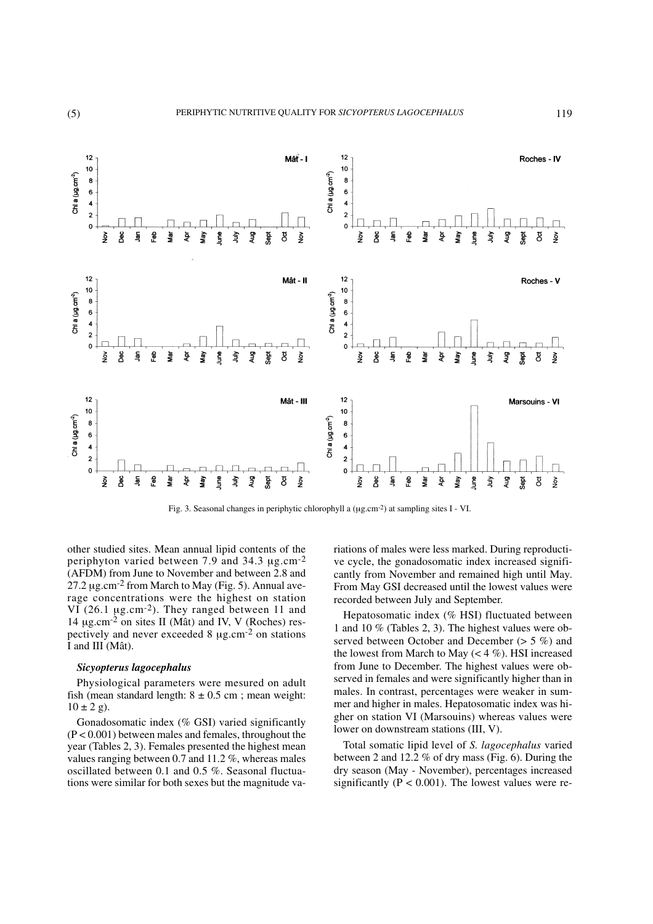

Fig. 3. Seasonal changes in periphytic chlorophyll a (µg.cm-2) at sampling sites I - VI.

other studied sites. Mean annual lipid contents of the periphyton varied between 7.9 and 34.3 µg.cm-2 (AFDM) from June to November and between 2.8 and  $27.2 \mu$ g.cm<sup>-2</sup> from March to May (Fig. 5). Annual average concentrations were the highest on station VI (26.1 µg.cm<sup>-2</sup>). They ranged between 11 and 14  $\mu$ g.cm<sup>-2</sup> on sites II (Mât) and IV, V (Roches) respectively and never exceeded 8 µg.cm-2 on stations I and III (Mât).

## *Sicyopterus lagocephalus*

Physiological parameters were mesured on adult fish (mean standard length:  $8 \pm 0.5$  cm; mean weight:  $10 \pm 2$  g).

Gonadosomatic index (% GSI) varied significantly  $(P < 0.001)$  between males and females, throughout the year (Tables 2, 3). Females presented the highest mean values ranging between 0.7 and 11.2 %, whereas males oscillated between 0.1 and 0.5 %. Seasonal fluctuations were similar for both sexes but the magnitude variations of males were less marked. During reproductive cycle, the gonadosomatic index increased significantly from November and remained high until May. From May GSI decreased until the lowest values were recorded between July and September.

Hepatosomatic index (% HSI) fluctuated between 1 and 10 % (Tables 2, 3). The highest values were observed between October and December (> 5 %) and the lowest from March to May  $(< 4\% )$ . HSI increased from June to December. The highest values were observed in females and were significantly higher than in males. In contrast, percentages were weaker in summer and higher in males. Hepatosomatic index was higher on station VI (Marsouins) whereas values were lower on downstream stations (III, V).

Total somatic lipid level of *S. lagocephalus* varied between 2 and 12.2 % of dry mass (Fig. 6). During the dry season (May - November), percentages increased significantly ( $P < 0.001$ ). The lowest values were re-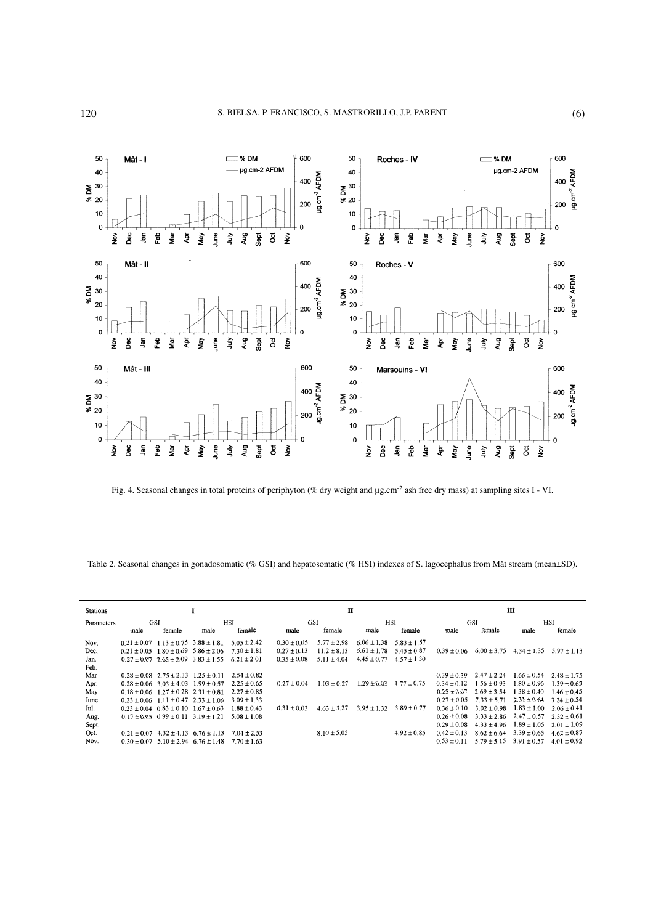

Fig. 4. Seasonal changes in total proteins of periphyton (% dry weight and µg.cm-2 ash free dry mass) at sampling sites I - VI.

Table 2. Seasonal changes in gonadosomatic (% GSI) and hepatosomatic (% HSI) indexes of S. lagocephalus from Mât stream (mean±SD).

| <b>Stations</b> |                 | л                                               |                                                 |                 |                 | п               |                 |                 | ш               |                 |                 |                 |
|-----------------|-----------------|-------------------------------------------------|-------------------------------------------------|-----------------|-----------------|-----------------|-----------------|-----------------|-----------------|-----------------|-----------------|-----------------|
| Parameters      | GSI             |                                                 |                                                 | HSI             | GSI             |                 | <b>HSI</b>      |                 | <b>GSI</b>      |                 | <b>HSI</b>      |                 |
|                 | male            | female                                          | male                                            | female          | male            | female          | male            | female          | male            | female          | male            | female          |
| Nov.            | $0.21 \pm 0.07$ |                                                 | $1.13 \pm 0.75$ 3.88 $\pm 1.81$                 | $5.05 \pm 2.42$ | $0.30 \pm 0.05$ | $5.77 \pm 2.98$ | $6.06 \pm 1.38$ | $5.83 \pm 1.57$ |                 |                 |                 |                 |
| Dec.            | $0.21 \pm 0.05$ |                                                 | $1.80 \pm 0.69$ 5.86 $\pm 2.06$                 | $7.30 \pm 1.81$ | $0.27 \pm 0.13$ | $11.2 \pm 8.13$ | $5.61 \pm 1.78$ | $5.45 \pm 0.87$ | $0.39 \pm 0.06$ | $6.00 \pm 3.75$ | $4.34 \pm 1.35$ | $5.97 \pm 1.13$ |
| Jan.            |                 |                                                 | $0.27 \pm 0.07$ $2.65 \pm 2.09$ $3.83 \pm 1.55$ | $6.21 \pm 2.01$ | $0.35 \pm 0.08$ | $5.11 \pm 4.04$ | $4.45 \pm 0.77$ | $4.57 \pm 1.30$ |                 |                 |                 |                 |
| Feb.            |                 |                                                 |                                                 |                 |                 |                 |                 |                 |                 |                 |                 |                 |
| Mar             |                 | $0.28 \pm 0.08$ $2.75 \pm 2.33$ $1.25 \pm 0.11$ |                                                 | $2.54 \pm 0.82$ |                 |                 |                 |                 | $0.39 \pm 0.39$ | $2.47 \pm 2.24$ | $1.66 \pm 0.54$ | $2.48 \pm 1.75$ |
| Apr.            |                 | $0.28 \pm 0.06$ 3.03 $\pm 4.03$ 1.99 $\pm 0.57$ |                                                 | $2.25 \pm 0.65$ | $0.27 \pm 0.04$ | $1.03 \pm 0.27$ | $1.29 \pm 0.03$ | $1.77 \pm 0.75$ | $0.34 \pm 0.12$ | $1.56 \pm 0.93$ | $.80 \pm 0.96$  | $1.39 \pm 0.63$ |
| May             |                 | $0.18 \pm 0.06$ $1.27 \pm 0.28$ $2.31 \pm 0.81$ |                                                 | $2.27 \pm 0.85$ |                 |                 |                 |                 | $0.25 \pm 0.07$ | $2.69 \pm 3.54$ | $1.38 \pm 0.40$ | $1.46 \pm 0.45$ |
| June            |                 | $0.23 \pm 0.06$ 1.11 $\pm 0.47$ 2.33 $\pm 1.06$ |                                                 | $3.09 \pm 1.33$ |                 |                 |                 |                 | $0.27 \pm 0.05$ | $7.33 \pm 5.71$ | $2.31 \pm 0.64$ | $3.24 \pm 0.54$ |
| Jul.            |                 | $0.23 \pm 0.04$ $0.83 \pm 0.10$ $1.67 \pm 0.63$ |                                                 | $1.88 \pm 0.43$ | $0.31 \pm 0.03$ | $4.63 \pm 3.27$ | $3.95 \pm 1.32$ | $3.89 \pm 0.77$ | $0.36 \pm 0.10$ | $3.02 \pm 0.98$ | $1.83 \pm 1.00$ | $2.06 \pm 0.41$ |
| Aug.            |                 | $0.17 \pm 0.05$ $0.99 \pm 0.11$ $3.19 \pm 1.21$ |                                                 | $5.08 \pm 1.08$ |                 |                 |                 |                 | $0.26 \pm 0.08$ | $3.33 \pm 2.86$ | $2.47 \pm 0.57$ | $2.32 \pm 0.61$ |
| Sept.           |                 |                                                 |                                                 |                 |                 |                 |                 |                 | $0.29 \pm 0.08$ | $4.33 \pm 4.96$ | $.89 \pm 1.05$  | $2.01 \pm 1.09$ |
| Oct.            | $0.21 \pm 0.07$ |                                                 | $4.32 \pm 4.13$ $6.76 \pm 1.13$                 | $7.04 \pm 2.53$ |                 | $8.10 \pm 5.05$ |                 | $4.92 \pm 0.85$ | $0.42 \pm 0.13$ | $8.62 \pm 6.64$ | $3.39 \pm 0.65$ | $4.62 \pm 0.87$ |
| Nov.            |                 |                                                 | $0.30 \pm 0.07$ 5.10 $\pm 2.94$ 6.76 $\pm 1.48$ | $7.70 \pm 1.63$ |                 |                 |                 |                 | $0.53 \pm 0.11$ | $5.79 \pm 5.15$ | $3.91 \pm 0.57$ | $4.01 \pm 0.92$ |
|                 |                 |                                                 |                                                 |                 |                 |                 |                 |                 |                 |                 |                 |                 |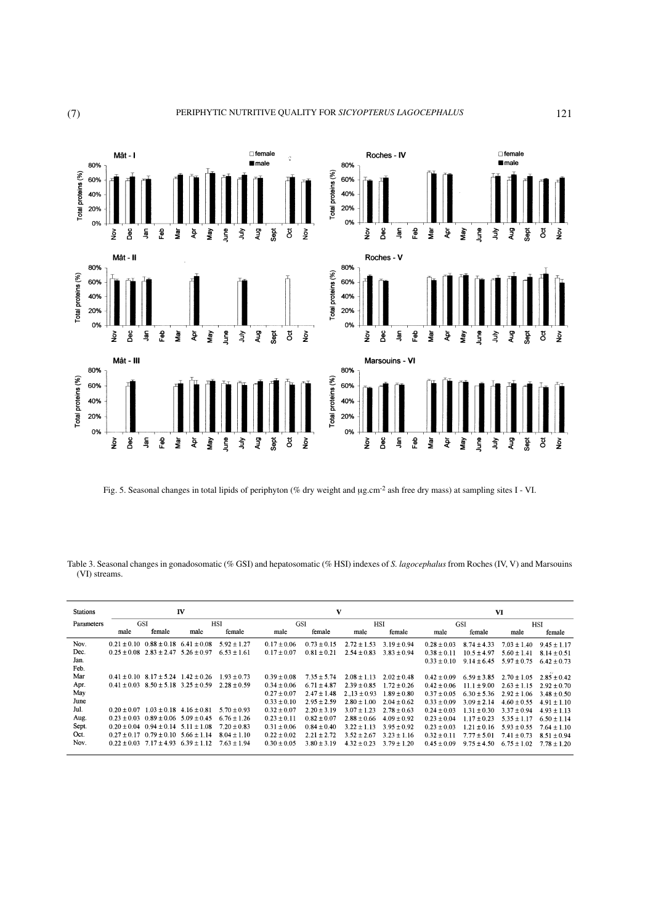

Fig. 5. Seasonal changes in total lipids of periphyton (% dry weight and µg.cm-2 ash free dry mass) at sampling sites I - VI.

Table 3. Seasonal changes in gonadosomatic (% GSI) and hepatosomatic (% HSI) indexes of *S. lagocephalus* from Roches (IV, V) and Marsouins (VI) streams.

| <b>Stations</b> |                 | IV                                              |                                 |                 |                 | V               |                 |                 | VI              |                 |                 |                 |
|-----------------|-----------------|-------------------------------------------------|---------------------------------|-----------------|-----------------|-----------------|-----------------|-----------------|-----------------|-----------------|-----------------|-----------------|
| Parameters      | <b>GSI</b>      |                                                 | <b>HSI</b>                      |                 | <b>GSI</b>      |                 | HSI             |                 | GSI             |                 | HSI             |                 |
|                 | male            | female                                          | male                            | female          | male            | female          | male            | female          | male            | female          | male            | female          |
| Nov.            | $0.21 \pm 0.10$ |                                                 | $0.88 \pm 0.18$ 6.41 $\pm 0.08$ | $5.92 \pm 1.27$ | $0.17 \pm 0.06$ | $0.73 \pm 0.15$ | $2.72 \pm 1.53$ | $3.19 \pm 0.94$ | $0.28 \pm 0.03$ | $8.74 \pm 4.33$ | $7.03 \pm 1.40$ | $9.45 \pm 1.17$ |
| Dec.            | $0.25 \pm 0.08$ | $2.83 \pm 2.47$ 5.26 $\pm$ 0.97                 |                                 | $6.53 \pm 1.61$ | $0.17 \pm 0.07$ | $0.81 \pm 0.21$ | $2.54 \pm 0.83$ | $3.83 \pm 0.94$ | $0.38 \pm 0.11$ | $10.5 \pm 4.97$ | $5.60 \pm 1.41$ | $8.14 \pm 0.51$ |
| Jan.            |                 |                                                 |                                 |                 |                 |                 |                 |                 | $0.33 \pm 0.10$ | $9.14 \pm 6.45$ | $5.97 \pm 0.75$ | $6.42 \pm 0.73$ |
| Feb.            |                 |                                                 |                                 |                 |                 |                 |                 |                 |                 |                 |                 |                 |
| Mar             |                 | $0.41 \pm 0.10$ 8.17 $\pm$ 5.24 1.42 $\pm$ 0.26 |                                 | $1.93 \pm 0.73$ | $0.39 \pm 0.08$ | $7.35 \pm 5.74$ | $2.08 \pm 1.13$ | $2.02 \pm 0.48$ | $0.42 \pm 0.09$ | $6.59 \pm 3.85$ | $2.70 \pm 1.05$ | $2.85 \pm 0.42$ |
| Apr.            | $0.41 \pm 0.03$ | $8.50 \pm 5.18$ $3.25 \pm 0.59$                 |                                 | $2.28 \pm 0.59$ | $0.34 \pm 0.06$ | $6.71 \pm 4.87$ | $2.39 \pm 0.85$ | $1.72 \pm 0.26$ | $0.42 \pm 0.06$ | $11.1 \pm 9.00$ | $2.63 \pm 1.15$ | $2.92 \pm 0.70$ |
| May             |                 |                                                 |                                 |                 | $0.27 \pm 0.07$ | $2.47 \pm 1.48$ | $2.13 \pm 0.93$ | $1.89 \pm 0.80$ | $0.37 \pm 0.05$ | $6.30 \pm 5.36$ | $2.92 \pm 1.06$ | $3.48 \pm 0.50$ |
| June            |                 |                                                 |                                 |                 | $0.33 \pm 0.10$ | $2.95 \pm 2.59$ | $2.80 \pm 1.00$ | $2.04 \pm 0.62$ | $0.33 \pm 0.09$ | $3.09 \pm 2.14$ | $4.60 \pm 0.55$ | $4.91 \pm 1.10$ |
| Jul.            | $0.20 + 0.07$   |                                                 | $1.03 \pm 0.18$ 4.16 $\pm 0.81$ | $5.70 \pm 0.93$ | $0.32 \pm 0.07$ | $2.20 \pm 3.19$ | $3.07 \pm 1.23$ | $2.78 \pm 0.63$ | $0.24 \pm 0.03$ | $1.31 \pm 0.30$ | $3.37 \pm 0.94$ | $4.93 \pm 1.13$ |
| Aug.            | $0.23 + 0.03$   |                                                 | $0.89 \pm 0.06$ 5.09 $\pm 0.45$ | $6.76 \pm 1.26$ | $0.23 \pm 0.11$ | $0.82 \pm 0.07$ | $2.88 \pm 0.66$ | $4.09 \pm 0.92$ | $0.23 \pm 0.04$ | $1.17 \pm 0.23$ | $5.35 \pm 1.17$ | $6.50 \pm 1.14$ |
| Sept.           | $0.20 \pm 0.04$ | $0.94 \pm 0.14$ 5.11 $\pm$ 1.08                 |                                 | $7.20 \pm 0.83$ | $0.31 \pm 0.06$ | $0.84 \pm 0.40$ | $3.22 \pm 1.13$ | $3.95 \pm 0.92$ | $0.23 \pm 0.03$ | $1.21 \pm 0.16$ | $5.93 \pm 0.55$ | $7.64 \pm 1.10$ |
| Oct.            | $0.27 \pm 0.17$ | $0.79 \pm 0.10$ 5.66 $\pm$ 1.14                 |                                 | $8.04 \pm 1.10$ | $0.22 \pm 0.02$ | $2.21 \pm 2.72$ | $3.52 \pm 2.67$ | $3.23 \pm 1.16$ | $0.32 \pm 0.11$ | $7.77 \pm 5.01$ | $7.41 \pm 0.73$ | $8.51 \pm 0.94$ |
| Nov.            | $0.22 \pm 0.03$ | $7.17 \pm 4.93$ 6.39 $\pm$ 1.12                 |                                 | $7.63 \pm 1.94$ | $0.30 \pm 0.05$ | $3.80 \pm 3.19$ | $4.32 \pm 0.23$ | $3.79 \pm 1.20$ | $0.45 \pm 0.09$ | $9.75 \pm 4.50$ | $6.75 \pm 1.02$ | $7.78 \pm 1.20$ |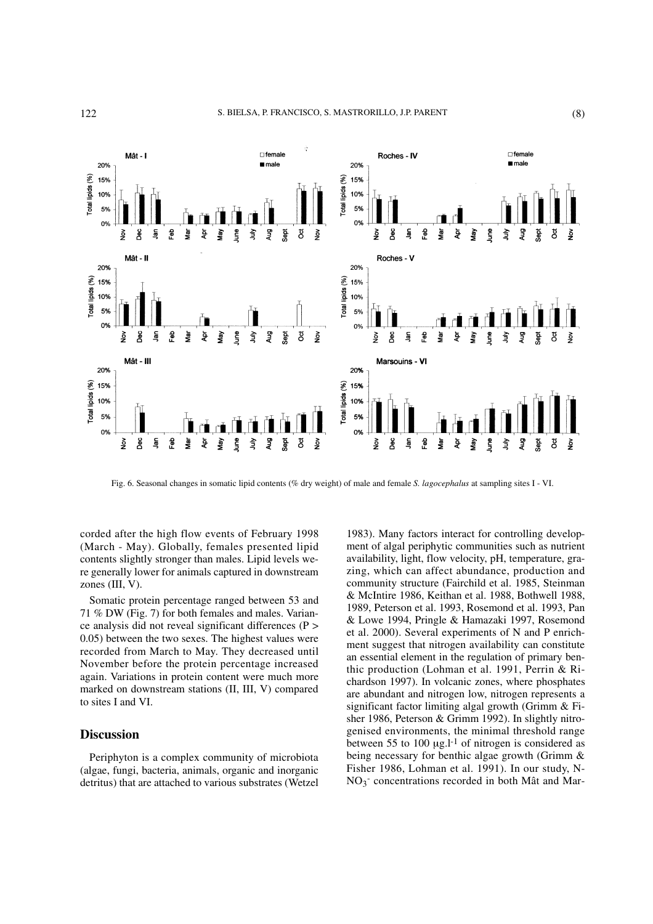

Fig. 6. Seasonal changes in somatic lipid contents (% dry weight) of male and female *S. lagocephalus* at sampling sites I - VI.

corded after the high flow events of February 1998 (March - May). Globally, females presented lipid contents slightly stronger than males. Lipid levels were generally lower for animals captured in downstream zones (III, V).

Somatic protein percentage ranged between 53 and 71 % DW (Fig. 7) for both females and males. Variance analysis did not reveal significant differences (P > 0.05) between the two sexes. The highest values were recorded from March to May. They decreased until November before the protein percentage increased again. Variations in protein content were much more marked on downstream stations (II, III, V) compared to sites I and VI.

# **Discussion**

Periphyton is a complex community of microbiota (algae, fungi, bacteria, animals, organic and inorganic detritus) that are attached to various substrates (Wetzel 1983). Many factors interact for controlling development of algal periphytic communities such as nutrient availability, light, flow velocity, pH, temperature, grazing, which can affect abundance, production and community structure (Fairchild et al. 1985, Steinman & McIntire 1986, Keithan et al. 1988, Bothwell 1988, 1989, Peterson et al. 1993, Rosemond et al. 1993, Pan & Lowe 1994, Pringle & Hamazaki 1997, Rosemond et al. 2000). Several experiments of N and P enrichment suggest that nitrogen availability can constitute an essential element in the regulation of primary benthic production (Lohman et al. 1991, Perrin & Richardson 1997). In volcanic zones, where phosphates are abundant and nitrogen low, nitrogen represents a significant factor limiting algal growth (Grimm & Fisher 1986, Peterson & Grimm 1992). In slightly nitrogenised environments, the minimal threshold range between 55 to 100  $\mu$ g.l<sup>-1</sup> of nitrogen is considered as being necessary for benthic algae growth (Grimm & Fisher 1986, Lohman et al. 1991). In our study, N- $NO<sub>3</sub>$  concentrations recorded in both Mât and Mar-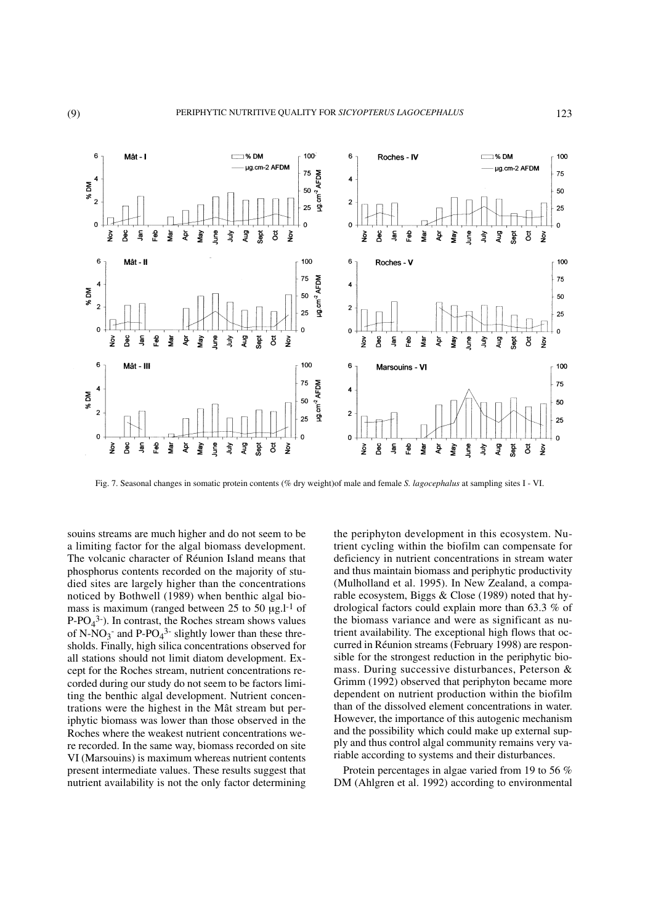

Fig. 7. Seasonal changes in somatic protein contents (% dry weight)of male and female *S. lagocephalus* at sampling sites I - VI.

souins streams are much higher and do not seem to be a limiting factor for the algal biomass development. The volcanic character of Réunion Island means that phosphorus contents recorded on the majority of studied sites are largely higher than the concentrations noticed by Bothwell (1989) when benthic algal biomass is maximum (ranged between 25 to 50  $\mu$ g.l<sup>-1</sup> of  $P-PO<sub>4</sub><sup>3-</sup>$ ). In contrast, the Roches stream shows values of N-NO<sub>3</sub><sup>-</sup> and P-PO<sub>4</sub><sup>3-</sup> slightly lower than these thresholds. Finally, high silica concentrations observed for all stations should not limit diatom development. Except for the Roches stream, nutrient concentrations recorded during our study do not seem to be factors limiting the benthic algal development. Nutrient concentrations were the highest in the Mât stream but periphytic biomass was lower than those observed in the Roches where the weakest nutrient concentrations were recorded. In the same way, biomass recorded on site VI (Marsouins) is maximum whereas nutrient contents present intermediate values. These results suggest that nutrient availability is not the only factor determining

the periphyton development in this ecosystem. Nutrient cycling within the biofilm can compensate for deficiency in nutrient concentrations in stream water and thus maintain biomass and periphytic productivity (Mulholland et al. 1995). In New Zealand, a comparable ecosystem, Biggs & Close (1989) noted that hydrological factors could explain more than 63.3 % of the biomass variance and were as significant as nutrient availability. The exceptional high flows that occurred in Réunion streams (February 1998) are responsible for the strongest reduction in the periphytic biomass. During successive disturbances, Peterson & Grimm (1992) observed that periphyton became more dependent on nutrient production within the biofilm than of the dissolved element concentrations in water. However, the importance of this autogenic mechanism and the possibility which could make up external supply and thus control algal community remains very variable according to systems and their disturbances.

Protein percentages in algae varied from 19 to 56 % DM (Ahlgren et al. 1992) according to environmental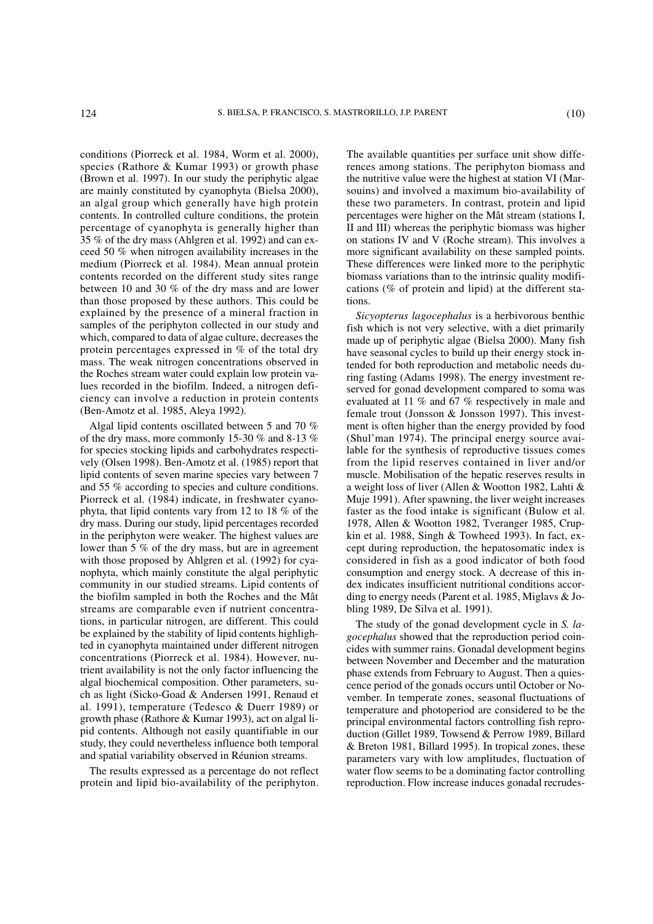conditions (Piorreck et al. 1984, Worm et al. 2000), species (Rathore & Kumar 1993) or growth phase (Brown et al. 1997). In our study the periphytic algae are mainly constituted by cyanophyta (Bielsa 2000), an algal group which generally have high protein contents. In controlled culture conditions, the protein percentage of cyanophyta is generally higher than 35 % of the dry mass (Ahlgren et al. 1992) and can exceed 50 % when nitrogen availability increases in the medium (Piorreck et al. 1984). Mean annual protein contents recorded on the different study sites range between 10 and 30 % of the dry mass and are lower than those proposed by these authors. This could be explained by the presence of a mineral fraction in samples of the periphyton collected in our study and which, compared to data of algae culture, decreases the protein percentages expressed in % of the total dry mass. The weak nitrogen concentrations observed in the Roches stream water could explain low protein values recorded in the biofilm. Indeed, a nitrogen deficiency can involve a reduction in protein contents (Ben-Amotz et al. 1985, Aleya 1992).

Algal lipid contents oscillated between 5 and 70 % of the dry mass, more commonly 15-30 % and 8-13 % for species stocking lipids and carbohydrates respectively (Olsen 1998). Ben-Amotz et al. (1985) report that lipid contents of seven marine species vary between 7 and 55 % according to species and culture conditions. Piorreck et al. (1984) indicate, in freshwater cyanophyta, that lipid contents vary from 12 to 18 % of the dry mass. During our study, lipid percentages recorded in the periphyton were weaker. The highest values are lower than 5 % of the dry mass, but are in agreement with those proposed by Ahlgren et al. (1992) for cyanophyta, which mainly constitute the algal periphytic community in our studied streams. Lipid contents of the biofilm sampled in both the Roches and the Mât streams are comparable even if nutrient concentrations, in particular nitrogen, are different. This could be explained by the stability of lipid contents highlighted in cyanophyta maintained under different nitrogen concentrations (Piorreck et al. 1984). However, nutrient availability is not the only factor influencing the algal biochemical composition. Other parameters, such as light (Sicko-Goad & Andersen 1991, Renaud et al. 1991), temperature (Tedesco & Duerr 1989) or growth phase (Rathore & Kumar 1993), act on algal lipid contents. Although not easily quantifiable in our study, they could nevertheless influence both temporal and spatial variability observed in Réunion streams.

The results expressed as a percentage do not reflect protein and lipid bio-availability of the periphyton. The available quantities per surface unit show differences among stations. The periphyton biomass and the nutritive value were the highest at station VI (Marsouins) and involved a maximum bio-availability of these two parameters. In contrast, protein and lipid percentages were higher on the Mât stream (stations I, II and III) whereas the periphytic biomass was higher on stations IV and V (Roche stream). This involves a more significant availability on these sampled points. These differences were linked more to the periphytic biomass variations than to the intrinsic quality modifications (% of protein and lipid) at the different stations.

*Sicyopterus lagocephalus* is a herbivorous benthic fish which is not very selective, with a diet primarily made up of periphytic algae (Bielsa 2000). Many fish have seasonal cycles to build up their energy stock intended for both reproduction and metabolic needs during fasting (Adams 1998). The energy investment reserved for gonad development compared to soma was evaluated at 11 % and 67 % respectively in male and female trout (Jonsson & Jonsson 1997). This investment is often higher than the energy provided by food (Shul'man 1974). The principal energy source available for the synthesis of reproductive tissues comes from the lipid reserves contained in liver and/or muscle. Mobilisation of the hepatic reserves results in a weight loss of liver (Allen & Wootton 1982, Lahti & Muje 1991). After spawning, the liver weight increases faster as the food intake is significant (Bulow et al. 1978, Allen & Wootton 1982, Tveranger 1985, Crupkin et al. 1988, Singh & Towheed 1993). In fact, except during reproduction, the hepatosomatic index is considered in fish as a good indicator of both food consumption and energy stock. A decrease of this index indicates insufficient nutritional conditions according to energy needs (Parent et al. 1985, Miglavs & Jobling 1989, De Silva et al. 1991).

The study of the gonad development cycle in *S. lagocephalus* showed that the reproduction period coincides with summer rains. Gonadal development begins between November and December and the maturation phase extends from February to August. Then a quiescence period of the gonads occurs until October or November. In temperate zones, seasonal fluctuations of temperature and photoperiod are considered to be the principal environmental factors controlling fish reproduction (Gillet 1989, Towsend & Perrow 1989, Billard & Breton 1981, Billard 1995). In tropical zones, these parameters vary with low amplitudes, fluctuation of water flow seems to be a dominating factor controlling reproduction. Flow increase induces gonadal recrudes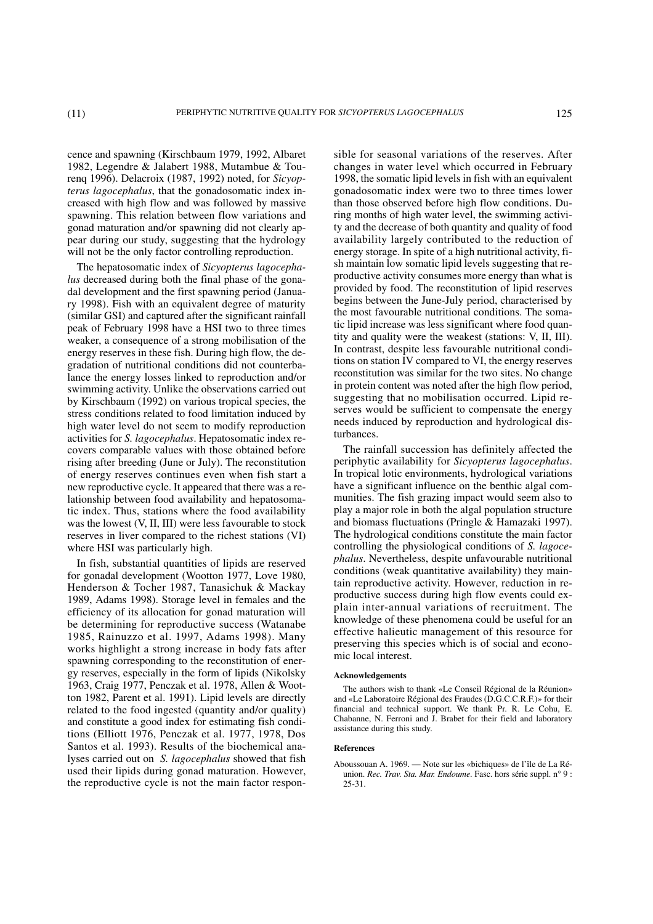cence and spawning (Kirschbaum 1979, 1992, Albaret 1982, Legendre & Jalabert 1988, Mutambue & Tourenq 1996). Delacroix (1987, 1992) noted, for *Sicyopterus lagocephalus*, that the gonadosomatic index increased with high flow and was followed by massive spawning. This relation between flow variations and gonad maturation and/or spawning did not clearly appear during our study, suggesting that the hydrology will not be the only factor controlling reproduction.

The hepatosomatic index of *Sicyopterus lagocephalus* decreased during both the final phase of the gonadal development and the first spawning period (January 1998). Fish with an equivalent degree of maturity (similar GSI) and captured after the significant rainfall peak of February 1998 have a HSI two to three times weaker, a consequence of a strong mobilisation of the energy reserves in these fish. During high flow, the degradation of nutritional conditions did not counterbalance the energy losses linked to reproduction and/or swimming activity. Unlike the observations carried out by Kirschbaum (1992) on various tropical species, the stress conditions related to food limitation induced by high water level do not seem to modify reproduction activities for *S. lagocephalus*. Hepatosomatic index recovers comparable values with those obtained before rising after breeding (June or July). The reconstitution of energy reserves continues even when fish start a new reproductive cycle. It appeared that there was a relationship between food availability and hepatosomatic index. Thus, stations where the food availability was the lowest (V, II, III) were less favourable to stock reserves in liver compared to the richest stations (VI) where HSI was particularly high.

In fish, substantial quantities of lipids are reserved for gonadal development (Wootton 1977, Love 1980, Henderson & Tocher 1987, Tanasichuk & Mackay 1989, Adams 1998). Storage level in females and the efficiency of its allocation for gonad maturation will be determining for reproductive success (Watanabe 1985, Rainuzzo et al. 1997, Adams 1998). Many works highlight a strong increase in body fats after spawning corresponding to the reconstitution of energy reserves, especially in the form of lipids (Nikolsky 1963, Craig 1977, Penczak et al. 1978, Allen & Wootton 1982, Parent et al. 1991). Lipid levels are directly related to the food ingested (quantity and/or quality) and constitute a good index for estimating fish conditions (Elliott 1976, Penczak et al. 1977, 1978, Dos Santos et al. 1993). Results of the biochemical analyses carried out on *S. lagocephalus* showed that fish used their lipids during gonad maturation. However, the reproductive cycle is not the main factor responsible for seasonal variations of the reserves. After changes in water level which occurred in February 1998, the somatic lipid levels in fish with an equivalent gonadosomatic index were two to three times lower than those observed before high flow conditions. During months of high water level, the swimming activity and the decrease of both quantity and quality of food availability largely contributed to the reduction of energy storage. In spite of a high nutritional activity, fish maintain low somatic lipid levels suggesting that reproductive activity consumes more energy than what is provided by food. The reconstitution of lipid reserves begins between the June-July period, characterised by the most favourable nutritional conditions. The somatic lipid increase was less significant where food quantity and quality were the weakest (stations: V, II, III). In contrast, despite less favourable nutritional conditions on station IV compared to VI, the energy reserves reconstitution was similar for the two sites. No change in protein content was noted after the high flow period, suggesting that no mobilisation occurred. Lipid reserves would be sufficient to compensate the energy needs induced by reproduction and hydrological disturbances.

The rainfall succession has definitely affected the periphytic availability for *Sicyopterus lagocephalus*. In tropical lotic environments, hydrological variations have a significant influence on the benthic algal communities. The fish grazing impact would seem also to play a major role in both the algal population structure and biomass fluctuations (Pringle & Hamazaki 1997). The hydrological conditions constitute the main factor controlling the physiological conditions of *S. lagocephalus*. Nevertheless, despite unfavourable nutritional conditions (weak quantitative availability) they maintain reproductive activity. However, reduction in reproductive success during high flow events could explain inter-annual variations of recruitment. The knowledge of these phenomena could be useful for an effective halieutic management of this resource for preserving this species which is of social and economic local interest.

#### **Acknowledgements**

The authors wish to thank «Le Conseil Régional de la Réunion» and «Le Laboratoire Régional des Fraudes (D.G.C.C.R.F.)» for their financial and technical support. We thank Pr. R. Le Cohu, E. Chabanne, N. Ferroni and J. Brabet for their field and laboratory assistance during this study.

### **References**

Aboussouan A. 1969. — Note sur les «bichiques» de l'île de La Réunion. *Rec. Trav. Sta. Mar. Endoume*. Fasc. hors série suppl. n° 9 : 25-31.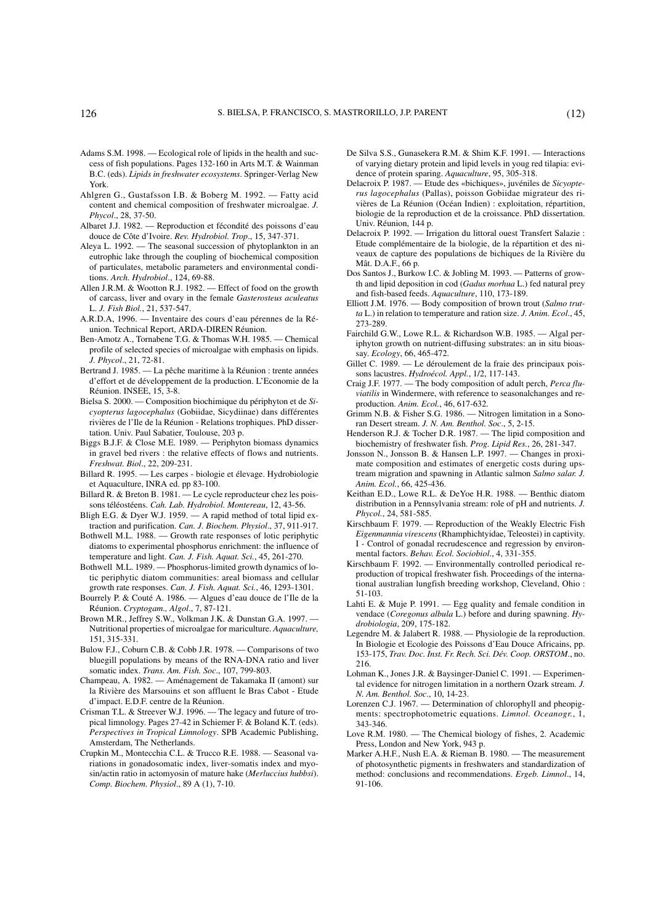- Adams S.M. 1998. Ecological role of lipids in the health and success of fish populations. Pages 132-160 in Arts M.T. & Wainman B.C. (eds). *Lipids in freshwater ecosystems*. Springer-Verlag New York.
- Ahlgren G., Gustafsson I.B. & Boberg M. 1992. Fatty acid content and chemical composition of freshwater microalgae. *J. Phycol*., 28, 37-50.
- Albaret J.J. 1982. Reproduction et fécondité des poissons d'eau douce de Côte d'Ivoire. *Rev. Hydrobiol. Trop*., 15, 347-371.
- Aleya L. 1992. The seasonal succession of phytoplankton in an eutrophic lake through the coupling of biochemical composition of particulates, metabolic parameters and environmental conditions. *Arch. Hydrobiol*., 124, 69-88.
- Allen J.R.M. & Wootton R.J. 1982. Effect of food on the growth of carcass, liver and ovary in the female *Gasterosteus aculeatus* L. *J. Fish Biol.*, 21, 537-547.
- A.R.D.A, 1996. Inventaire des cours d'eau pérennes de la Réunion. Technical Report, ARDA-DIREN Réunion.
- Ben-Amotz A., Tornabene T.G. & Thomas W.H. 1985. Chemical profile of selected species of microalgae with emphasis on lipids. *J. Phycol*., 21, 72-81.
- Bertrand J. 1985. La pêche maritime à la Réunion : trente années d'effort et de développement de la production. L'Economie de la Réunion. INSEE, 15, 3-8.
- Bielsa S. 2000. Composition biochimique du périphyton et de *Sicyopterus lagocephalus* (Gobiidae, Sicydiinae) dans différentes rivières de l'Ile de la Réunion - Relations trophiques. PhD dissertation. Univ. Paul Sabatier, Toulouse, 203 p.
- Biggs B.J.F. & Close M.E. 1989. Periphyton biomass dynamics in gravel bed rivers : the relative effects of flows and nutrients. *Freshwat. Biol*., 22, 209-231.
- Billard R. 1995. Les carpes biologie et élevage. Hydrobiologie et Aquaculture, INRA ed. pp 83-100.
- Billard R. & Breton B. 1981. Le cycle reproducteur chez les poissons téléostéens. *Cah. Lab. Hydrobiol. Montereau*, 12, 43-56.
- Bligh E.G. & Dyer W.J. 1959. A rapid method of total lipid extraction and purification. *Can. J. Biochem. Physiol*., 37, 911-917.
- Bothwell M.L. 1988. Growth rate responses of lotic periphytic diatoms to experimental phosphorus enrichment: the influence of temperature and light. *Can. J. Fish. Aquat. Sci.*, 45, 261-270.
- Bothwell M.L. 1989. Phosphorus-limited growth dynamics of lotic periphytic diatom communities: areal biomass and cellular growth rate responses. *Can. J. Fish. Aquat. Sci.*, 46, 1293-1301.
- Bourrely P. & Couté A. 1986. Algues d'eau douce de l'Ile de la Réunion. *Cryptogam., Algol*., 7, 87-121.
- Brown M.R., Jeffrey S.W., Volkman J.K. & Dunstan G.A. 1997. Nutritional properties of microalgae for mariculture. *Aquaculture,* 151, 315-331.
- Bulow F.J., Coburn C.B. & Cobb J.R. 1978. Comparisons of two bluegill populations by means of the RNA-DNA ratio and liver somatic index. *Trans. Am. Fish. Soc*., 107, 799-803.
- Champeau, A. 1982. Aménagement de Takamaka II (amont) sur la Rivière des Marsouins et son affluent le Bras Cabot - Etude d'impact. E.D.F. centre de la Réunion.
- Crisman T.L. & Streever W.J. 1996. The legacy and future of tropical limnology. Pages 27-42 in Schiemer F. & Boland K.T. (eds). *Perspectives in Tropical Limnology*. SPB Academic Publishing, Amsterdam, The Netherlands.
- Crupkin M., Montecchia C.L. & Trucco R.E. 1988. Seasonal variations in gonadosomatic index, liver-somatis index and myosin/actin ratio in actomyosin of mature hake (*Merluccius hubbsi*). *Comp. Biochem. Physiol*., 89 A (1), 7-10.
- De Silva S.S., Gunasekera R.M. & Shim K.F. 1991. Interactions of varying dietary protein and lipid levels in youg red tilapia: evidence of protein sparing. *Aquaculture*, 95, 305-318.
- Delacroix P. 1987. Etude des «bichiques», juvéniles de *Sicyopterus lagocephalus* (Pallas), poisson Gobiidae migrateur des rivières de La Réunion (Océan Indien) : exploitation, répartition, biologie de la reproduction et de la croissance. PhD dissertation. Univ. Réunion, 144 p.
- Delacroix P. 1992. Irrigation du littoral ouest Transfert Salazie : Etude complémentaire de la biologie, de la répartition et des niveaux de capture des populations de bichiques de la Rivière du Mât. D.A.F., 66 p.
- Dos Santos J., Burkow I.C. & Jobling M. 1993. Patterns of growth and lipid deposition in cod (*Gadus morhua* L.) fed natural prey and fish-based feeds. *Aquaculture*, 110, 173-189.
- Elliott J.M. 1976. Body composition of brown trout (*Salmo trutta* L.) in relation to temperature and ration size. *J. Anim. Ecol*., 45, 273-289.
- Fairchild G.W., Lowe R.L. & Richardson W.B. 1985. Algal periphyton growth on nutrient-diffusing substrates: an in situ bioassay. *Ecology*, 66, 465-472.
- Gillet C. 1989. Le déroulement de la fraie des principaux poissons lacustres. *Hydroécol. Appl.*, 1/2, 117-143.
- Craig J.F. 1977. The body composition of adult perch, *Perca fluviatilis* in Windermere, with reference to seasonalchanges and reproduction. *Anim. Ecol.*, 46, 617-632.
- Grimm N.B. & Fisher S.G. 1986. Nitrogen limitation in a Sonoran Desert stream. *J. N. Am. Benthol. Soc*., 5, 2-15.
- Henderson R.J. & Tocher D.R. 1987. The lipid composition and biochemistry of freshwater fish. *Prog. Lipid Res.*, 26, 281-347.
- Jonsson N., Jonsson B. & Hansen L.P. 1997. Changes in proximate composition and estimates of energetic costs during upstream migration and spawning in Atlantic salmon *Salmo salar. J. Anim. Ecol.*, 66, 425-436.
- Keithan E.D., Lowe R.L. & DeYoe H.R. 1988. Benthic diatom distribution in a Pennsylvania stream: role of pH and nutrients. *J. Phycol.*, 24, 581-585.
- Kirschbaum F. 1979. Reproduction of the Weakly Electric Fish *Eigenmannia virescens* (Rhamphichtyidae, Teleostei) in captivity. I - Control of gonadal recrudescence and regression by environmental factors. *Behav. Ecol. Sociobiol*., 4, 331-355.
- Kirschbaum F. 1992. Environmentally controlled periodical reproduction of tropical freshwater fish. Proceedings of the international australian lungfish breeding workshop, Cleveland, Ohio : 51-103.
- Lahti E. & Muje P. 1991. Egg quality and female condition in vendace (*Coregonus albula* L.) before and during spawning. *Hydrobiologia*, 209, 175-182.
- Legendre M. & Jalabert R. 1988. Physiologie de la reproduction. In Biologie et Ecologie des Poissons d'Eau Douce Africains, pp. 153-175, *Trav. Doc. Inst. Fr. Rech. Sci. Dév. Coop. ORSTOM*., no. 216.
- Lohman K., Jones J.R. & Baysinger-Daniel C. 1991. Experimental evidence for nitrogen limitation in a northern Ozark stream. *J. N. Am. Benthol. Soc*., 10, 14-23.
- Lorenzen C.J. 1967. Determination of chlorophyll and pheopigments: spectrophotometric equations. *Limnol. Oceanogr.*, 1, 343-346.
- Love R.M. 1980. The Chemical biology of fishes, 2. Academic Press, London and New York, 943 p.
- Marker A.H.F., Nush E.A. & Rieman B. 1980. The measurement of photosynthetic pigments in freshwaters and standardization of method: conclusions and recommendations. *Ergeb. Limnol*., 14, 91-106.